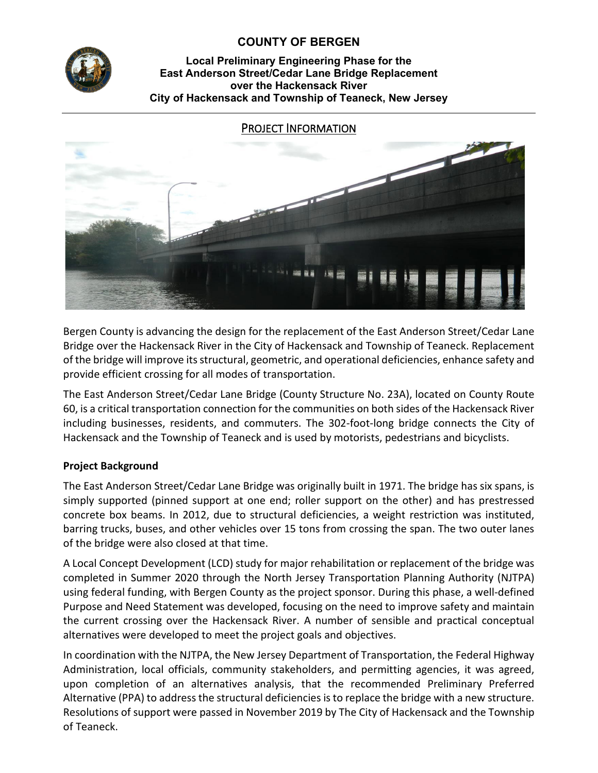

# **COUNTY OF BERGEN**

### **Local Preliminary Engineering Phase for the East Anderson Street/Cedar Lane Bridge Replacement over the Hackensack River City of Hackensack and Township of Teaneck, New Jersey**

## PROJECT INFORMATION



Bergen County is advancing the design for the replacement of the East Anderson Street/Cedar Lane Bridge over the Hackensack River in the City of Hackensack and Township of Teaneck. Replacement of the bridge will improve its structural, geometric, and operational deficiencies, enhance safety and provide efficient crossing for all modes of transportation.

The East Anderson Street/Cedar Lane Bridge (County Structure No. 23A), located on County Route 60, is a critical transportation connection for the communities on both sides of the Hackensack River including businesses, residents, and commuters. The 302-foot-long bridge connects the City of Hackensack and the Township of Teaneck and is used by motorists, pedestrians and bicyclists.

## **Project Background**

The East Anderson Street/Cedar Lane Bridge was originally built in 1971. The bridge has six spans, is simply supported (pinned support at one end; roller support on the other) and has prestressed concrete box beams. In 2012, due to structural deficiencies, a weight restriction was instituted, barring trucks, buses, and other vehicles over 15 tons from crossing the span. The two outer lanes of the bridge were also closed at that time.

A Local Concept Development (LCD) study for major rehabilitation or replacement of the bridge was completed in Summer 2020 through the North Jersey Transportation Planning Authority (NJTPA) using federal funding, with Bergen County as the project sponsor. During this phase, a well-defined Purpose and Need Statement was developed, focusing on the need to improve safety and maintain the current crossing over the Hackensack River. A number of sensible and practical conceptual alternatives were developed to meet the project goals and objectives.

In coordination with the NJTPA, the New Jersey Department of Transportation, the Federal Highway Administration, local officials, community stakeholders, and permitting agencies, it was agreed, upon completion of an alternatives analysis, that the recommended Preliminary Preferred Alternative (PPA) to address the structural deficiencies is to replace the bridge with a new structure. Resolutions of support were passed in November 2019 by The City of Hackensack and the Township of Teaneck.